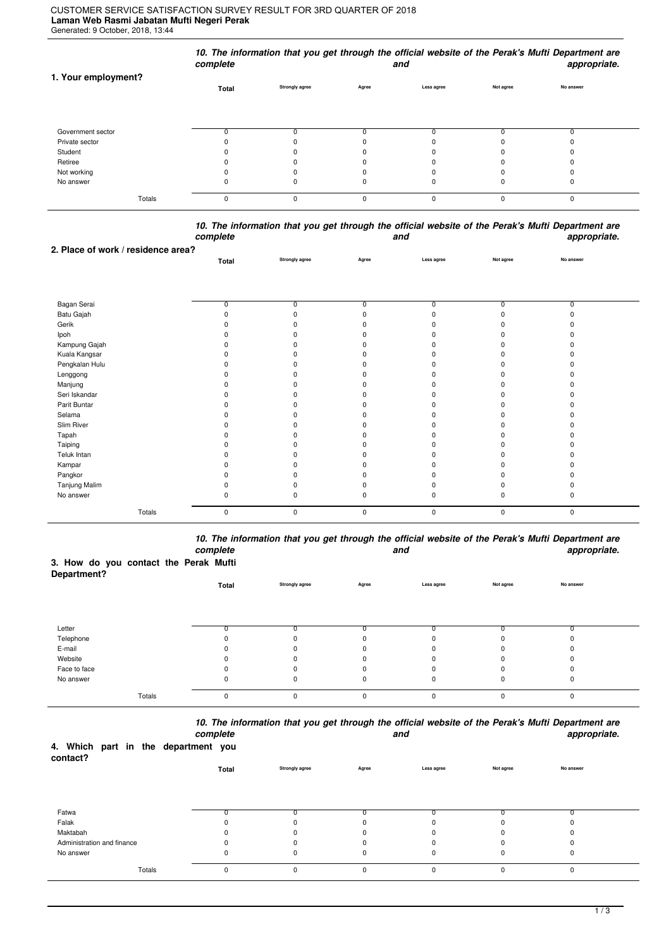## **Laman Web Rasmi Jabatan Mufti Negeri Perak** Generated: 9 October, 2018, 13:44 CUSTOMER SERVICE SATISFACTION SURVEY RESULT FOR 3RD QUARTER OF 2018

|                     | complete |                       |       | and        |           | 10. The information that you get through the official website of the Perak's Mufti Department are<br>appropriate. |  |
|---------------------|----------|-----------------------|-------|------------|-----------|-------------------------------------------------------------------------------------------------------------------|--|
| 1. Your employment? | Total    | <b>Strongly agree</b> | Agree | Less agree | Not agree | No answer                                                                                                         |  |
| Government sector   |          |                       |       |            |           |                                                                                                                   |  |
| Private sector      |          |                       |       |            |           |                                                                                                                   |  |
| Student             |          |                       |       |            |           |                                                                                                                   |  |
| Retiree             |          |                       |       |            |           |                                                                                                                   |  |
| Not working         |          |                       | n     |            |           |                                                                                                                   |  |
| No answer           | 0        | 0                     | 0     | 0          | 0         |                                                                                                                   |  |
| Totals              | 0        | 0                     | 0     | $\Omega$   | $\Omega$  | $\Omega$                                                                                                          |  |

|          | 10. The information that you get through the official website of the Perak's Mufti Department are |              |
|----------|---------------------------------------------------------------------------------------------------|--------------|
| complete | and                                                                                               | appropriate. |

|                | Total          | Strongly agree | Agree       | Less agree     | Not agree    | No answer      |  |
|----------------|----------------|----------------|-------------|----------------|--------------|----------------|--|
|                |                |                |             |                |              |                |  |
|                |                |                |             |                |              |                |  |
|                |                |                |             |                |              |                |  |
| Bagan Serai    | $\overline{0}$ | <sup>0</sup>   | n.          | $\overline{0}$ | <sup>0</sup> | $\overline{0}$ |  |
| Batu Gajah     | $\Omega$       | n              |             |                |              | $\Omega$       |  |
| Gerik          |                |                |             |                |              |                |  |
| Ipoh           |                |                |             |                |              |                |  |
| Kampung Gajah  |                |                |             |                |              |                |  |
| Kuala Kangsar  |                |                |             |                |              |                |  |
| Pengkalan Hulu |                |                |             |                |              |                |  |
| Lenggong       |                |                |             |                |              |                |  |
| Manjung        |                |                |             |                |              |                |  |
| Seri Iskandar  |                |                |             |                |              |                |  |
| Parit Buntar   |                |                |             |                |              |                |  |
| Selama         |                |                |             |                |              |                |  |
| Slim River     |                |                |             |                |              |                |  |
| Tapah          |                |                |             |                |              |                |  |
| Taiping        |                |                |             |                |              |                |  |
| Teluk Intan    |                |                |             |                |              |                |  |
| Kampar         |                |                |             |                |              |                |  |
| Pangkor        |                |                |             |                |              |                |  |
| Tanjung Malim  | ŋ              |                |             |                |              |                |  |
| No answer      | 0              |                |             | O              | $\Omega$     | O              |  |
| Totals         | 0              | $\mathbf 0$    | $\mathbf 0$ | $\mathbf 0$    | $\pmb{0}$    | $\pmb{0}$      |  |
|                |                |                |             |                |              |                |  |

*10. The information that you get through the official website of the Perak's Mufti Department are complete and appropriate.*

## **3. How do you contact the Perak Mufti**

**2. Place of work / residence area?**

| Department?  |          |                       |              |            |           |           |  |
|--------------|----------|-----------------------|--------------|------------|-----------|-----------|--|
|              | Total    | <b>Strongly agree</b> | Agree        | Less agree | Not agree | No answer |  |
|              |          |                       |              |            |           |           |  |
|              |          |                       |              |            |           |           |  |
|              |          |                       |              |            |           |           |  |
| Letter       |          |                       |              | $\sim$     |           |           |  |
| Telephone    |          | 0                     | 0            | $\Omega$   |           |           |  |
| E-mail       |          |                       | 0            | 0          |           |           |  |
| Website      |          | 0                     | $\Omega$     | $\Omega$   |           |           |  |
| Face to face |          |                       | 0            | 0          |           |           |  |
| No answer    | 0        | 0                     | 0            | 0          | 0         | υ         |  |
|              |          |                       |              |            |           |           |  |
| Totals       | $\Omega$ | $\Omega$              | $\mathbf{0}$ | 0          | $\Omega$  | $\Omega$  |  |

*10. The information that you get through the official website of the Perak's Mufti Department are*

|                                                 |        | complete |       |                |             | and         |           | appropriate. |
|-------------------------------------------------|--------|----------|-------|----------------|-------------|-------------|-----------|--------------|
| 4. Which part in the department you<br>contact? |        |          |       |                |             |             |           |              |
|                                                 |        |          | Total | Strongly agree | Agree       | Less agree  | Not agree | No answer    |
|                                                 |        |          |       |                |             |             |           |              |
| Fatwa                                           |        |          |       |                |             |             |           |              |
| Falak                                           |        |          | 0     |                |             |             |           |              |
| Maktabah                                        |        |          | 0     |                | $\Omega$    |             |           | 0            |
| Administration and finance                      |        |          | 0     | n              | $\Omega$    |             |           | O            |
| No answer                                       |        |          | 0     | 0              | $\mathbf 0$ | 0           | 0         | 0            |
|                                                 | Totals |          | 0     | 0              | $\mathbf 0$ | $\mathbf 0$ | $\Omega$  | $\mathbf 0$  |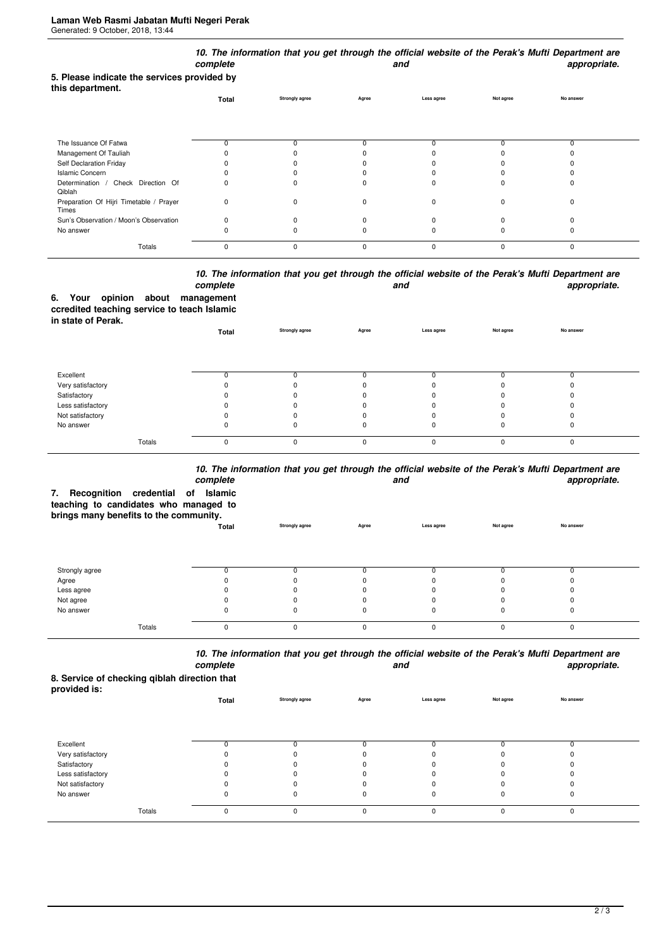|                                                                 | complete     |                       |             | and         |           | 10. The information that you get through the official website of the Perak's Mufti Department are<br>appropriate. |
|-----------------------------------------------------------------|--------------|-----------------------|-------------|-------------|-----------|-------------------------------------------------------------------------------------------------------------------|
| 5. Please indicate the services provided by<br>this department. |              |                       |             |             |           | No answer                                                                                                         |
|                                                                 | Total        | <b>Strongly agree</b> | Agree       | Less agree  | Not agree |                                                                                                                   |
| The Issuance Of Fatwa                                           | n            | $\Omega$              |             |             | n         | 0                                                                                                                 |
| Management Of Tauliah                                           |              |                       |             |             |           |                                                                                                                   |
| Self Declaration Friday                                         |              |                       |             |             |           |                                                                                                                   |
| <b>Islamic Concern</b>                                          |              |                       |             |             |           |                                                                                                                   |
| Determination / Check Direction Of<br>Qiblah                    |              | n                     |             |             |           | ŋ                                                                                                                 |
| Preparation Of Hijri Timetable / Prayer<br>Times                | 0            | $\Omega$              | O           | $\Omega$    | $\Omega$  | $\Omega$                                                                                                          |
| Sun's Observation / Moon's Observation                          | <sup>0</sup> | $\Omega$              |             |             |           | 0                                                                                                                 |
| No answer                                                       |              |                       |             |             |           | ŋ                                                                                                                 |
| Totals                                                          | $\mathbf 0$  | $\mathbf 0$           | $\mathbf 0$ | $\mathbf 0$ | $\Omega$  | 0                                                                                                                 |

## *10. The information that you get through the official website of the Perak's Mufti Department are* **and** and **appropriate.**

|                    |  | complete                                    |
|--------------------|--|---------------------------------------------|
|                    |  | 6. Your opinion about management            |
|                    |  | ccredited teaching service to teach Islamic |
| in state of Perak. |  |                                             |

| <b> .</b>         | Total    | <b>Strongly agree</b> | Agree    | Less agree | Not agree | No answer |  |
|-------------------|----------|-----------------------|----------|------------|-----------|-----------|--|
|                   |          |                       |          |            |           |           |  |
| Excellent         |          |                       |          |            |           |           |  |
| Very satisfactory |          |                       |          |            |           |           |  |
| Satisfactory      |          |                       |          |            |           |           |  |
| Less satisfactory |          |                       |          |            |           |           |  |
| Not satisfactory  |          |                       |          |            |           |           |  |
| No answer         | O        |                       |          |            |           |           |  |
| Totals            | $\Omega$ | 0                     | $\Omega$ | $\Omega$   |           |           |  |

## *10. The information that you get through the official website of the Perak's Mufti Department are*

| Recognition credential of<br>7.                                                 | complete<br>Islamic |                       |              | and        |           | TV. The implifiation that you get through the onitial website of the Felax's multi-bepartment are<br>appropriate. |
|---------------------------------------------------------------------------------|---------------------|-----------------------|--------------|------------|-----------|-------------------------------------------------------------------------------------------------------------------|
| teaching to candidates who managed to<br>brings many benefits to the community. |                     |                       |              |            |           |                                                                                                                   |
|                                                                                 | Total               | <b>Strongly agree</b> | Agree        | Less agree | Not agree | No answer                                                                                                         |
| Strongly agree                                                                  |                     |                       |              | O          |           |                                                                                                                   |
| Agree                                                                           |                     |                       |              |            |           |                                                                                                                   |
| Less agree                                                                      |                     |                       |              |            |           |                                                                                                                   |
| Not agree                                                                       |                     |                       |              |            |           |                                                                                                                   |
| No answer                                                                       |                     |                       |              | 0          |           |                                                                                                                   |
| Totals                                                                          | $\Omega$            | $\Omega$              | <sup>0</sup> | $\Omega$   | $\Omega$  | $\Omega$                                                                                                          |

*10. The information that you get through the official website of the Perak's Mufti Department are complete and appropriate.*

**8. Service of checking qiblah direction that provided is:**

| provided is.      | Total | <b>Strongly agree</b> | Agree    | Less agree | Not agree | No answer |  |
|-------------------|-------|-----------------------|----------|------------|-----------|-----------|--|
|                   |       |                       |          |            |           |           |  |
| Excellent         |       |                       |          |            |           |           |  |
| Very satisfactory |       | $\Omega$              |          |            |           |           |  |
| Satisfactory      |       | 0                     |          |            |           |           |  |
| Less satisfactory |       | 0                     |          |            |           |           |  |
| Not satisfactory  |       |                       |          |            |           |           |  |
| No answer         | 0     | 0                     |          | 0          | 0         | υ         |  |
| Totals            | 0     | 0                     | $\Omega$ | $\Omega$   | $\Omega$  | 0         |  |